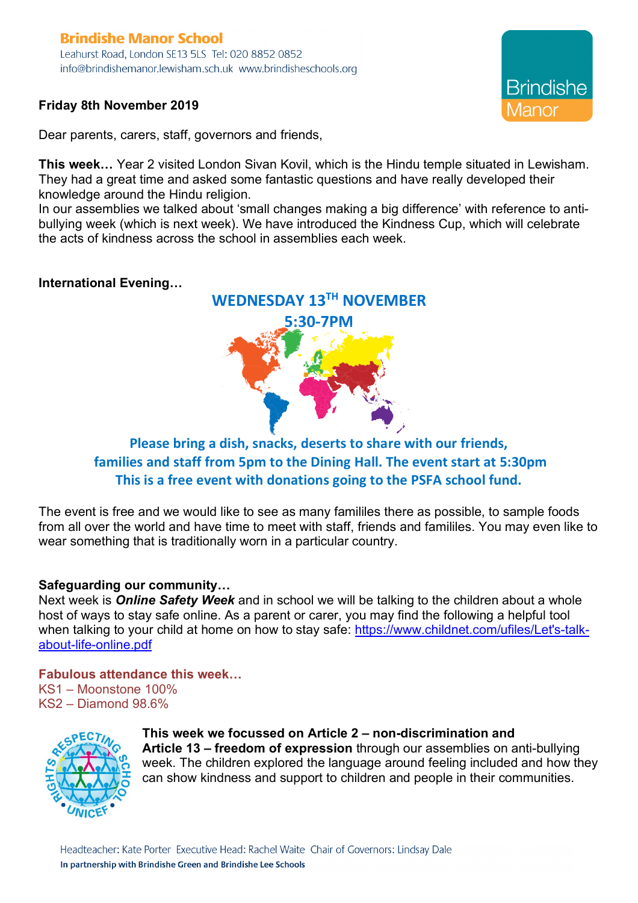# **Brindishe Manor School**

Leahurst Road, London SE13 5LS Tel: 020 8852 0852 info@brindishemanor.lewisham.sch.uk www.brindisheschools.org

### **Friday 8th November 2019**

Dear parents, carers, staff, governors and friends,

**This week…** Year 2 visited London Sivan Kovil, which is the Hindu temple situated in Lewisham. They had a great time and asked some fantastic questions and have really developed their knowledge around the Hindu religion.

In our assemblies we talked about 'small changes making a big difference' with reference to antibullying week (which is next week). We have introduced the Kindness Cup, which will celebrate the acts of kindness across the school in assemblies each week.

### **International Evening…**



## **Please bring a dish, snacks, deserts to share with our friends, families and staff from 5pm to the Dining Hall. The event start at 5:30pm This is a free event with donations going to the PSFA school fund.**

The event is free and we would like to see as many famililes there as possible, to sample foods from all over the world and have time to meet with staff, friends and famililes. You may even like to wear something that is traditionally worn in a particular country.

### **Safeguarding our community…**

Next week is *Online Safety Week* and in school we will be talking to the children about a whole host of ways to stay safe online. As a parent or carer, you may find the following a helpful tool when talking to your child at home on how to stay safe: https://www.childnet.com/ufiles/Let's-talkabout-life-online.pdf

### **Fabulous attendance this week…**

KS1 – Moonstone 100% KS2 – Diamond 98.6%



#### **This week we focussed on Article 2 – non-discrimination and Article 13 – freedom of expression** through our assemblies on anti-bullying week. The children explored the language around feeling included and how they can show kindness and support to children and people in their communities.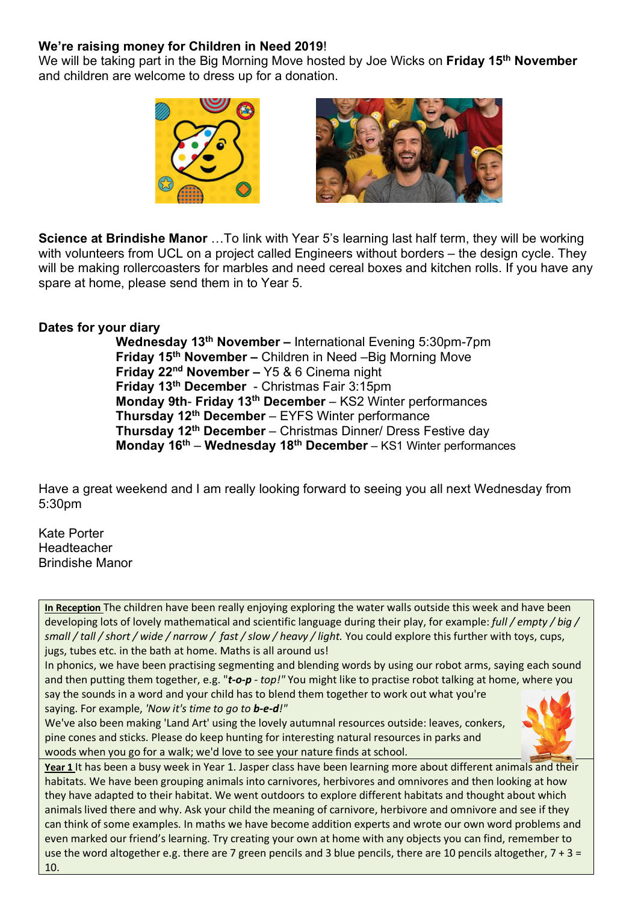### **We're raising money for Children in Need 2019**!

We will be taking part in the Big Morning Move hosted by Joe Wicks on **Friday 15th November** and children are welcome to dress up for a donation.





**Science at Brindishe Manor** …To link with Year 5's learning last half term, they will be working with volunteers from UCL on a project called Engineers without borders – the design cycle. They will be making rollercoasters for marbles and need cereal boxes and kitchen rolls. If you have any spare at home, please send them in to Year 5.

#### **Dates for your diary**

**Wednesday 13th November –** International Evening 5:30pm-7pm **Friday 15th November –** Children in Need –Big Morning Move **Friday 22nd November –** Y5 & 6 Cinema night **Friday 13th December** - Christmas Fair 3:15pm **Monday 9th**- **Friday 13th December** – KS2 Winter performances **Thursday 12th December** – EYFS Winter performance **Thursday 12th December** – Christmas Dinner/ Dress Festive day **Monday 16th** – **Wednesday 18th December** – KS1 Winter performances

Have a great weekend and I am really looking forward to seeing you all next Wednesday from 5:30pm

Kate Porter **Headteacher** Brindishe Manor

**In Reception** The children have been really enjoying exploring the water walls outside this week and have been developing lots of lovely mathematical and scientific language during their play, for example: *full / empty / big / small / tall / short / wide / narrow / fast / slow / heavy / light.* You could explore this further with toys, cups, jugs, tubes etc. in the bath at home. Maths is all around us!

In phonics, we have been practising segmenting and blending words by using our robot arms, saying each sound and then putting them together, e.g. "*t-o-p - top!"* You might like to practise robot talking at home, where you

say the sounds in a word and your child has to blend them together to work out what you're saying. For example, *'Now it's time to go to b-e-d!"*

We've also been making 'Land Art' using the lovely autumnal resources outside: leaves, conkers, pine cones and sticks. Please do keep hunting for interesting natural resources in parks and woods when you go for a walk; we'd love to see your nature finds at school.



**Year 1** It has been a busy week in Year 1. Jasper class have been learning more about different animals and their habitats. We have been grouping animals into carnivores, herbivores and omnivores and then looking at how they have adapted to their habitat. We went outdoors to explore different habitats and thought about which animals lived there and why. Ask your child the meaning of carnivore, herbivore and omnivore and see if they can think of some examples. In maths we have become addition experts and wrote our own word problems and even marked our friend's learning. Try creating your own at home with any objects you can find, remember to use the word altogether e.g. there are 7 green pencils and 3 blue pencils, there are 10 pencils altogether, 7 + 3 = 10.